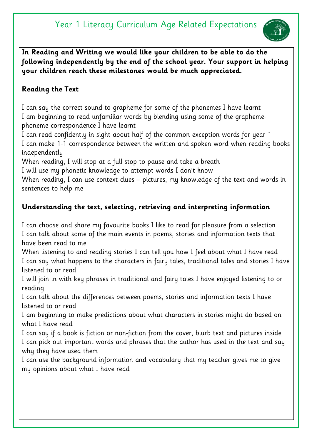# Year 1 Literacy Curriculum Age Related Expectations



**In Reading and Writing we would like your children to be able to do the following independently by the end of the school year. Your support in helping your children reach these milestones would be much appreciated.** 

# **Reading the Text**

I can say the correct sound to grapheme for some of the phonemes I have learnt I am beginning to read unfamiliar words by blending using some of the graphemephoneme correspondence I have learnt

I can read confidently in sight about half of the common exception words for year 1 I can make 1-1 correspondence between the written and spoken word when reading books independently

When reading, I will stop at a full stop to pause and take a breath

I will use my phonetic knowledge to attempt words I don't know

When reading, I can use context clues – pictures, my knowledge of the text and words in sentences to help me

# **Understanding the text, selecting, retrieving and interpreting information**

I can choose and share my favourite books I like to read for pleasure from a selection I can talk about some of the main events in poems, stories and information texts that have been read to me

When listening to and reading stories I can tell you how I feel about what I have read I can say what happens to the characters in fairy tales, traditional tales and stories I have listened to or read

I will join in with key phrases in traditional and fairy tales I have enjoyed listening to or reading

I can talk about the differences between poems, stories and information texts I have listened to or read

I am beginning to make predictions about what characters in stories might do based on what I have read

I can say if a book is fiction or non-fiction from the cover, blurb text and pictures inside I can pick out important words and phrases that the author has used in the text and say why they have used them

I can use the background information and vocabulary that my teacher gives me to give my opinions about what I have read